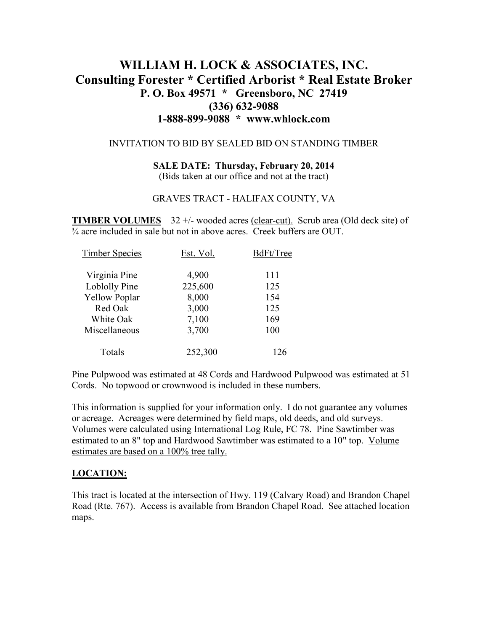## **WILLIAM H. LOCK & ASSOCIATES, INC. Consulting Forester \* Certified Arborist \* Real Estate Broker P. O. Box 49571 \* Greensboro, NC 27419 (336) 632-9088 1-888-899-9088 \* www.whlock.com**

#### INVITATION TO BID BY SEALED BID ON STANDING TIMBER

#### **SALE DATE: Thursday, February 20, 2014**  (Bids taken at our office and not at the tract)

# GRAVES TRACT - HALIFAX COUNTY, VA

**TIMBER VOLUMES** – 32 +/- wooded acres (clear-cut). Scrub area (Old deck site) of  $\frac{1}{24}$  acre included in sale but not in above acres. Creek buffers are OUT.

| <b>Timber Species</b> | Est. Vol. | BdFt/Tree |
|-----------------------|-----------|-----------|
| Virginia Pine         | 4,900     | 111       |
| Loblolly Pine         | 225,600   | 125       |
| <b>Yellow Poplar</b>  | 8,000     | 154       |
| Red Oak               | 3,000     | 125       |
| White Oak             | 7,100     | 169       |
| Miscellaneous         | 3,700     | 100       |
| Totals                | 252,300   | 126       |

Pine Pulpwood was estimated at 48 Cords and Hardwood Pulpwood was estimated at 51 Cords. No topwood or crownwood is included in these numbers.

This information is supplied for your information only. I do not guarantee any volumes or acreage. Acreages were determined by field maps, old deeds, and old surveys. Volumes were calculated using International Log Rule, FC 78. Pine Sawtimber was estimated to an 8" top and Hardwood Sawtimber was estimated to a 10" top. Volume estimates are based on a 100% tree tally.

### **LOCATION:**

This tract is located at the intersection of Hwy. 119 (Calvary Road) and Brandon Chapel Road (Rte. 767). Access is available from Brandon Chapel Road. See attached location maps.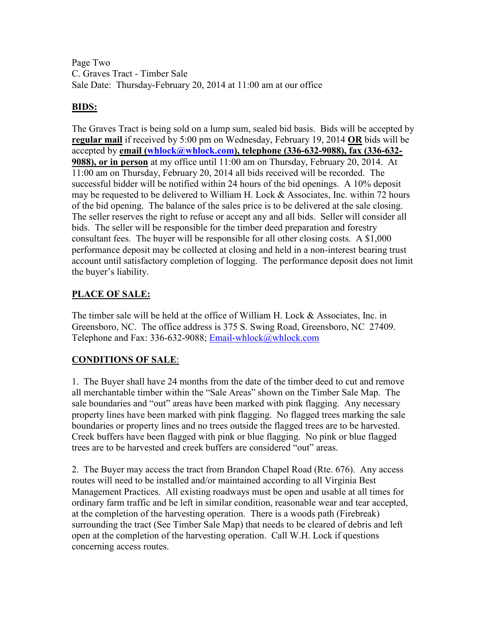Page Two C. Graves Tract - Timber Sale Sale Date: Thursday-February 20, 2014 at 11:00 am at our office

### **BIDS:**

The Graves Tract is being sold on a lump sum, sealed bid basis. Bids will be accepted by **regular mail** if received by 5:00 pm on Wednesday, February 19, 2014 **OR** bids will be accepted by **email (whlock@whlock.com), telephone (336-632-9088), fax (336-632- 9088), or in person** at my office until 11:00 am on Thursday, February 20, 2014. At 11:00 am on Thursday, February 20, 2014 all bids received will be recorded. The successful bidder will be notified within 24 hours of the bid openings. A 10% deposit may be requested to be delivered to William H. Lock & Associates, Inc. within 72 hours of the bid opening. The balance of the sales price is to be delivered at the sale closing. The seller reserves the right to refuse or accept any and all bids. Seller will consider all bids. The seller will be responsible for the timber deed preparation and forestry consultant fees. The buyer will be responsible for all other closing costs. A \$1,000 performance deposit may be collected at closing and held in a non-interest bearing trust account until satisfactory completion of logging. The performance deposit does not limit the buyer's liability.

## **PLACE OF SALE:**

The timber sale will be held at the office of William H. Lock & Associates, Inc. in Greensboro, NC. The office address is 375 S. Swing Road, Greensboro, NC 27409. Telephone and Fax: 336-632-9088; Email-whlock@whlock.com

## **CONDITIONS OF SALE**:

1. The Buyer shall have 24 months from the date of the timber deed to cut and remove all merchantable timber within the "Sale Areas" shown on the Timber Sale Map. The sale boundaries and "out" areas have been marked with pink flagging. Any necessary property lines have been marked with pink flagging. No flagged trees marking the sale boundaries or property lines and no trees outside the flagged trees are to be harvested. Creek buffers have been flagged with pink or blue flagging. No pink or blue flagged trees are to be harvested and creek buffers are considered "out" areas.

2. The Buyer may access the tract from Brandon Chapel Road (Rte. 676). Any access routes will need to be installed and/or maintained according to all Virginia Best Management Practices. All existing roadways must be open and usable at all times for ordinary farm traffic and be left in similar condition, reasonable wear and tear accepted, at the completion of the harvesting operation. There is a woods path (Firebreak) surrounding the tract (See Timber Sale Map) that needs to be cleared of debris and left open at the completion of the harvesting operation. Call W.H. Lock if questions concerning access routes.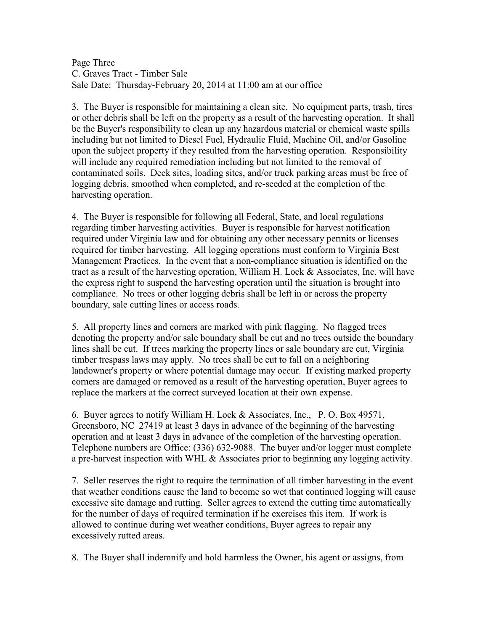Page Three C. Graves Tract - Timber Sale Sale Date: Thursday-February 20, 2014 at 11:00 am at our office

3. The Buyer is responsible for maintaining a clean site. No equipment parts, trash, tires or other debris shall be left on the property as a result of the harvesting operation. It shall be the Buyer's responsibility to clean up any hazardous material or chemical waste spills including but not limited to Diesel Fuel, Hydraulic Fluid, Machine Oil, and/or Gasoline upon the subject property if they resulted from the harvesting operation. Responsibility will include any required remediation including but not limited to the removal of contaminated soils. Deck sites, loading sites, and/or truck parking areas must be free of logging debris, smoothed when completed, and re-seeded at the completion of the harvesting operation.

4. The Buyer is responsible for following all Federal, State, and local regulations regarding timber harvesting activities. Buyer is responsible for harvest notification required under Virginia law and for obtaining any other necessary permits or licenses required for timber harvesting. All logging operations must conform to Virginia Best Management Practices. In the event that a non-compliance situation is identified on the tract as a result of the harvesting operation, William H. Lock & Associates, Inc. will have the express right to suspend the harvesting operation until the situation is brought into compliance. No trees or other logging debris shall be left in or across the property boundary, sale cutting lines or access roads.

5. All property lines and corners are marked with pink flagging. No flagged trees denoting the property and/or sale boundary shall be cut and no trees outside the boundary lines shall be cut. If trees marking the property lines or sale boundary are cut, Virginia timber trespass laws may apply. No trees shall be cut to fall on a neighboring landowner's property or where potential damage may occur. If existing marked property corners are damaged or removed as a result of the harvesting operation, Buyer agrees to replace the markers at the correct surveyed location at their own expense.

6. Buyer agrees to notify William H. Lock & Associates, Inc., P. O. Box 49571, Greensboro, NC 27419 at least 3 days in advance of the beginning of the harvesting operation and at least 3 days in advance of the completion of the harvesting operation. Telephone numbers are Office: (336) 632-9088. The buyer and/or logger must complete a pre-harvest inspection with WHL  $\&$  Associates prior to beginning any logging activity.

7. Seller reserves the right to require the termination of all timber harvesting in the event that weather conditions cause the land to become so wet that continued logging will cause excessive site damage and rutting. Seller agrees to extend the cutting time automatically for the number of days of required termination if he exercises this item. If work is allowed to continue during wet weather conditions, Buyer agrees to repair any excessively rutted areas.

8. The Buyer shall indemnify and hold harmless the Owner, his agent or assigns, from